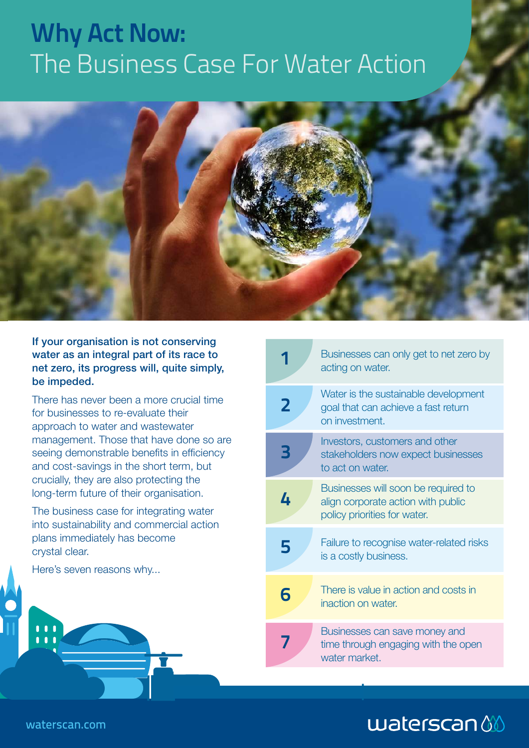# **Why Act Now:**  The Business Case For Water Action



If your organisation is not conserving water as an integral part of its race to net zero, its progress will, quite simply, be impeded.

There has never been a more crucial time for businesses to re-evaluate their approach to water and wastewater management. Those that have done so are seeing demonstrable benefits in efficiency and cost-savings in the short term, but crucially, they are also protecting the long-term future of their organisation.

The business case for integrating water into sustainability and commercial action plans immediately has become crystal clear.

Here's seven reasons why...

|   | Businesses can only get to net zero by<br>acting on water.                                                |
|---|-----------------------------------------------------------------------------------------------------------|
| 2 | Water is the sustainable development<br>goal that can achieve a fast return<br>on investment.             |
| B | Investors, customers and other<br>stakeholders now expect businesses<br>to act on water.                  |
| 4 | Businesses will soon be required to<br>align corporate action with public<br>policy priorities for water. |
| 5 | Failure to recognise water-related risks<br>is a costly business.                                         |
| 6 | There is value in action and costs in<br>inaction on water.                                               |
|   | Businesses can save money and<br>time through engaging with the open<br>water market.                     |

## $$

waterscan.com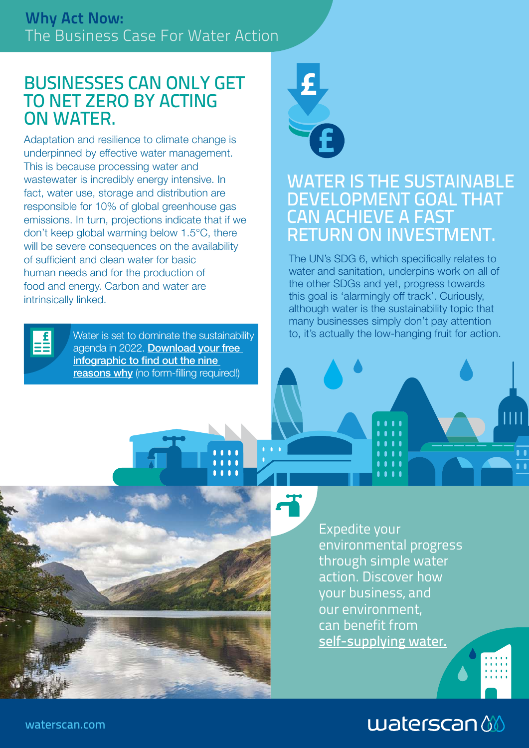#### BUSINESSES CAN ONLY GET TO NET ZERO BY ACTING ON WATER.

Adaptation and resilience to climate change is underpinned by effective water management. This is because processing water and wastewater is incredibly energy intensive. In fact, water use, storage and distribution are responsible for 10% of global greenhouse gas emissions. In turn, projections indicate that if we don't keep global warming below 1.5°C, there will be severe consequences on the availability of sufficient and clean water for basic human needs and for the production of food and energy. Carbon and water are intrinsically linked.



Water is set to dominate the sustainability agenda in 2022. Download your free [infographic to find out the nine](https://waterscan.com/news-blog-events/9-reasons-why-water-will-dominate-sustainability-in-2022/)  [reasons why](https://waterscan.com/news-blog-events/9-reasons-why-water-will-dominate-sustainability-in-2022/) (no form-filling required!)



#### WATER IS THE SUSTAINABLE DEVELOPMENT GOAL THAT CAN ACHIEVE A FAST RETURN ON INVESTMENT.

The UN's SDG 6, which specifically relates to water and sanitation, underpins work on all of the other SDGs and yet, progress towards this goal is 'alarmingly off track'. Curiously, although water is the sustainability topic that many businesses simply don't pay attention to, it's actually the low-hanging fruit for action.



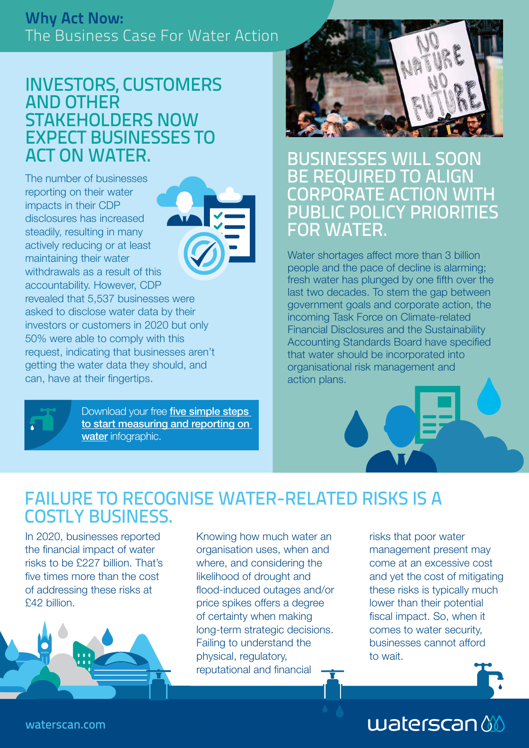#### **Why Act Now:** The Business Case For Water Action

#### INVESTORS, CUSTOMERS AND OTHER STAKEHOLDERS NOW EXPECT BUSINESSES TO ACT ON WATER.

The number of businesses reporting on their water impacts in their CDP disclosures has increased steadily, resulting in many actively reducing or at least maintaining their water withdrawals as a result of this accountability. However, CDP revealed that 5,537 businesses were asked to disclose water data by their 50% were able to comply with this



investors or customers in 2020 but only request, indicating that businesses aren't getting the water data they should, and can, have at their fingertips.



Download your free **five simple steps** [to start measuring and reporting on](https://waterscan.com/news-blog-events/5-steps-to-start-measuring-and-reporting-on-water/)  [water](https://waterscan.com/news-blog-events/5-steps-to-start-measuring-and-reporting-on-water/) infographic.



BUSINESSES WILL SOON BE REQUIRED TO ALIGN CORPORATE ACTION WITH PUBLIC POLICY PRIORITIES FOR WATER.

Water shortages affect more than 3 billion people and the pace of decline is alarming; fresh water has plunged by one fifth over the last two decades. To stem the gap between government goals and corporate action, the incoming Task Force on Climate-related Financial Disclosures and the Sustainability Accounting Standards Board have specified that water should be incorporated into organisational risk management and action plans.

### FAILURE TO RECOGNISE WATER-RELATED RISKS IS A COSTLY BUSINESS.

In 2020, businesses reported the financial impact of water risks to be £227 billion. That's five times more than the cost of addressing these risks at £42 billion.



Knowing how much water an organisation uses, when and where, and considering the likelihood of drought and flood-induced outages and/or price spikes offers a degree of certainty when making long-term strategic decisions. Failing to understand the physical, regulatory, reputational and financial

risks that poor water management present may come at an excessive cost and yet the cost of mitigating these risks is typically much lower than their potential fiscal impact. So, when it comes to water security, businesses cannot afford to wait.



# $$